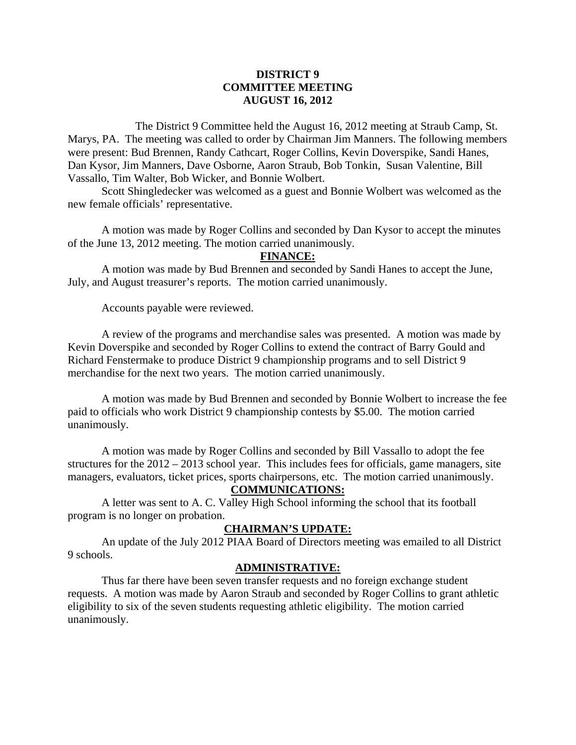# **DISTRICT 9 COMMITTEE MEETING AUGUST 16, 2012**

 The District 9 Committee held the August 16, 2012 meeting at Straub Camp, St. Marys, PA. The meeting was called to order by Chairman Jim Manners. The following members were present: Bud Brennen, Randy Cathcart, Roger Collins, Kevin Doverspike, Sandi Hanes, Dan Kysor, Jim Manners, Dave Osborne, Aaron Straub, Bob Tonkin, Susan Valentine, Bill Vassallo, Tim Walter, Bob Wicker, and Bonnie Wolbert.

 Scott Shingledecker was welcomed as a guest and Bonnie Wolbert was welcomed as the new female officials' representative.

 A motion was made by Roger Collins and seconded by Dan Kysor to accept the minutes of the June 13, 2012 meeting. The motion carried unanimously.

#### **FINANCE:**

A motion was made by Bud Brennen and seconded by Sandi Hanes to accept the June, July, and August treasurer's reports. The motion carried unanimously.

Accounts payable were reviewed.

 A review of the programs and merchandise sales was presented. A motion was made by Kevin Doverspike and seconded by Roger Collins to extend the contract of Barry Gould and Richard Fenstermake to produce District 9 championship programs and to sell District 9 merchandise for the next two years. The motion carried unanimously.

 A motion was made by Bud Brennen and seconded by Bonnie Wolbert to increase the fee paid to officials who work District 9 championship contests by \$5.00. The motion carried unanimously.

 A motion was made by Roger Collins and seconded by Bill Vassallo to adopt the fee structures for the 2012 – 2013 school year. This includes fees for officials, game managers, site managers, evaluators, ticket prices, sports chairpersons, etc. The motion carried unanimously.

## **COMMUNICATIONS:**

 A letter was sent to A. C. Valley High School informing the school that its football program is no longer on probation.

## **CHAIRMAN'S UPDATE:**

 An update of the July 2012 PIAA Board of Directors meeting was emailed to all District 9 schools.

## **ADMINISTRATIVE:**

 Thus far there have been seven transfer requests and no foreign exchange student requests. A motion was made by Aaron Straub and seconded by Roger Collins to grant athletic eligibility to six of the seven students requesting athletic eligibility. The motion carried unanimously.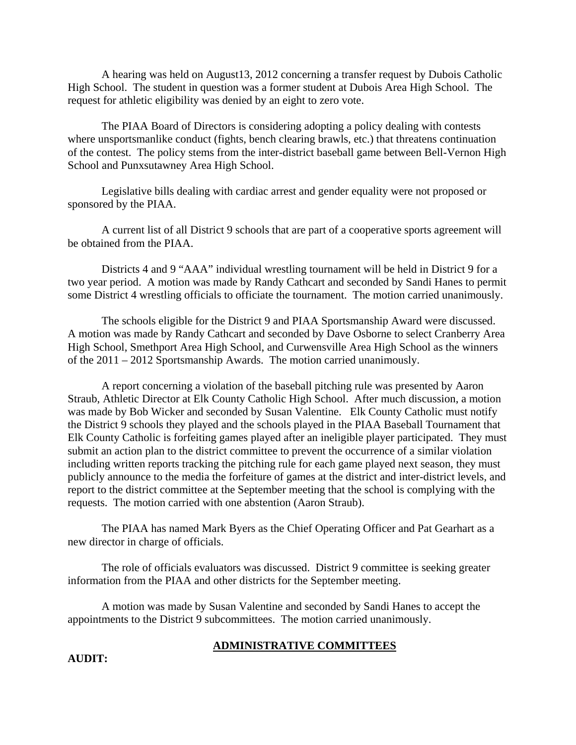A hearing was held on August13, 2012 concerning a transfer request by Dubois Catholic High School. The student in question was a former student at Dubois Area High School. The request for athletic eligibility was denied by an eight to zero vote.

The PIAA Board of Directors is considering adopting a policy dealing with contests where unsportsmanlike conduct (fights, bench clearing brawls, etc.) that threatens continuation of the contest. The policy stems from the inter-district baseball game between Bell-Vernon High School and Punxsutawney Area High School.

Legislative bills dealing with cardiac arrest and gender equality were not proposed or sponsored by the PIAA.

A current list of all District 9 schools that are part of a cooperative sports agreement will be obtained from the PIAA.

Districts 4 and 9 "AAA" individual wrestling tournament will be held in District 9 for a two year period. A motion was made by Randy Cathcart and seconded by Sandi Hanes to permit some District 4 wrestling officials to officiate the tournament. The motion carried unanimously.

The schools eligible for the District 9 and PIAA Sportsmanship Award were discussed. A motion was made by Randy Cathcart and seconded by Dave Osborne to select Cranberry Area High School, Smethport Area High School, and Curwensville Area High School as the winners of the 2011 – 2012 Sportsmanship Awards. The motion carried unanimously.

A report concerning a violation of the baseball pitching rule was presented by Aaron Straub, Athletic Director at Elk County Catholic High School. After much discussion, a motion was made by Bob Wicker and seconded by Susan Valentine. Elk County Catholic must notify the District 9 schools they played and the schools played in the PIAA Baseball Tournament that Elk County Catholic is forfeiting games played after an ineligible player participated. They must submit an action plan to the district committee to prevent the occurrence of a similar violation including written reports tracking the pitching rule for each game played next season, they must publicly announce to the media the forfeiture of games at the district and inter-district levels, and report to the district committee at the September meeting that the school is complying with the requests. The motion carried with one abstention (Aaron Straub).

The PIAA has named Mark Byers as the Chief Operating Officer and Pat Gearhart as a new director in charge of officials.

The role of officials evaluators was discussed. District 9 committee is seeking greater information from the PIAA and other districts for the September meeting.

A motion was made by Susan Valentine and seconded by Sandi Hanes to accept the appointments to the District 9 subcommittees. The motion carried unanimously.

#### **ADMINISTRATIVE COMMITTEES**

**AUDIT:**